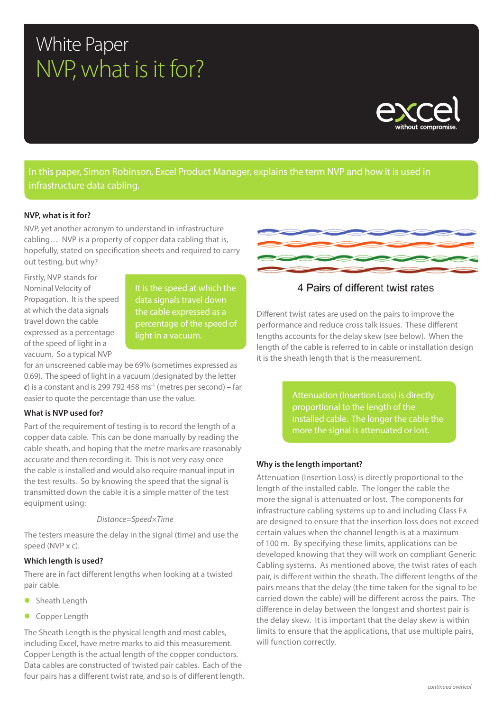# White Paper NVP, what is it for?



In this paper, Simon Robinson, Excel Product Manager, explains the term NVP and how it is used in infrastructure data cabling.

#### **NVP, what is it for?**

NVP, yet another acronym to understand in infrastructure cabling… NVP is a property of copper data cabling that is, hopefully, stated on specification sheets and required to carry out testing, but why?

Firstly, NVP stands for Nominal Velocity of Propagation. It is the speed at which the data signals travel down the cable expressed as a percentage of the speed of light in a vacuum. So a typical NVP

It is the speed at which the data signals travel down the cable expressed as a percentage of the speed of light in a vacuum.

for an unscreened cable may be 69% (sometimes expressed as 0.69). The speed of light in a vacuum (designated by the letter *c*) is a constant and is 299 792 458 ms<sup>-1</sup> (metres per second) – far easier to quote the percentage than use the value.

## **What is NVP used for?**

Part of the requirement of testing is to record the length of a copper data cable. This can be done manually by reading the cable sheath, and hoping that the metre marks are reasonably accurate and then recording it. This is not very easy once the cable is installed and would also require manual input in the test results. So by knowing the speed that the signal is transmitted down the cable it is a simple matter of the test equipment using:

#### *Distance=Speed×Time*

The testers measure the delay in the signal (time) and use the speed (NVP x c).

### **Which length is used?**

There are in fact different lengths when looking at a twisted pair cable.

- **•** Sheath Length
- **Copper Length**

The Sheath Length is the physical length and most cables, including Excel, have metre marks to aid this measurement. Copper Length is the actual length of the copper conductors. Data cables are constructed of twisted pair cables. Each of the four pairs has a different twist rate, and so is of different length.



## 4 Pairs of different twist rates

Different twist rates are used on the pairs to improve the performance and reduce cross talk issues. These different lengths accounts for the delay skew (see below). When the length of the cable is referred to in cable or installation design it is the sheath length that is the measurement.

> Attenuation (Insertion Loss) is directly proportional to the length of the installed cable. The longer the cable the more the signal is attenuated or lost.

## **Why is the length important?**

Attenuation (Insertion Loss) is directly proportional to the length of the installed cable. The longer the cable the more the signal is attenuated or lost. The components for infrastructure cabling systems up to and including Class FA are designed to ensure that the insertion loss does not exceed certain values when the channel length is at a maximum of 100 m. By specifying these limits, applications can be developed knowing that they will work on compliant Generic Cabling systems. As mentioned above, the twist rates of each pair, is different within the sheath. The different lengths of the pairs means that the delay (the time taken for the signal to be carried down the cable) will be different across the pairs. The difference in delay between the longest and shortest pair is the delay skew. It is important that the delay skew is within limits to ensure that the applications, that use multiple pairs, will function correctly.